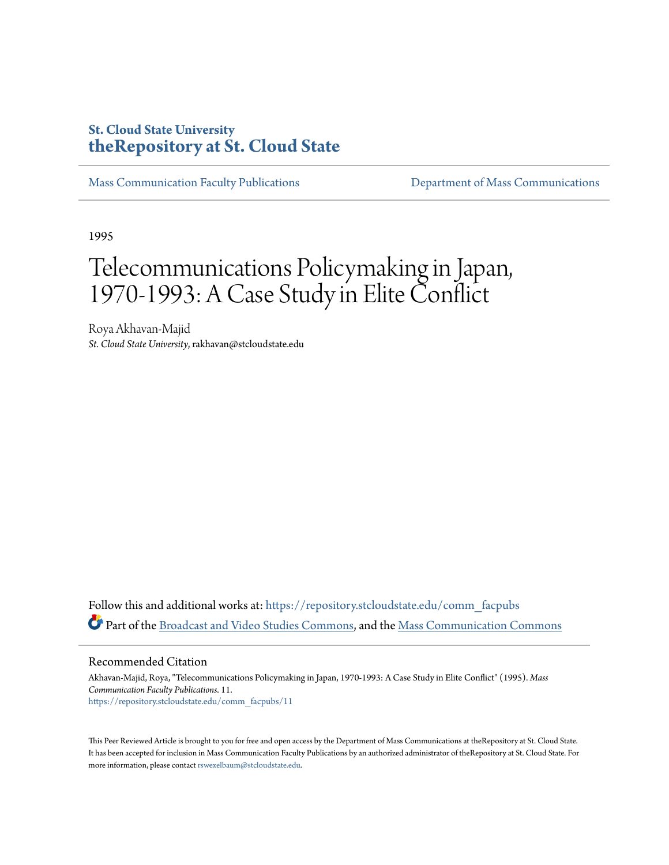### **St. Cloud State University [theRepository at St. Cloud State](https://repository.stcloudstate.edu?utm_source=repository.stcloudstate.edu%2Fcomm_facpubs%2F11&utm_medium=PDF&utm_campaign=PDFCoverPages)**

[Mass Communication Faculty Publications](https://repository.stcloudstate.edu/comm_facpubs?utm_source=repository.stcloudstate.edu%2Fcomm_facpubs%2F11&utm_medium=PDF&utm_campaign=PDFCoverPages) [Department of Mass Communications](https://repository.stcloudstate.edu/comm?utm_source=repository.stcloudstate.edu%2Fcomm_facpubs%2F11&utm_medium=PDF&utm_campaign=PDFCoverPages)

1995

## Telecommunications Policymaking in Japan, 1970-1993: A Case Study in Elite Conflict

Roya Akhavan-Majid *St. Cloud State University*, rakhavan@stcloudstate.edu

Follow this and additional works at: [https://repository.stcloudstate.edu/comm\\_facpubs](https://repository.stcloudstate.edu/comm_facpubs?utm_source=repository.stcloudstate.edu%2Fcomm_facpubs%2F11&utm_medium=PDF&utm_campaign=PDFCoverPages) Part of the [Broadcast and Video Studies Commons,](http://network.bepress.com/hgg/discipline/326?utm_source=repository.stcloudstate.edu%2Fcomm_facpubs%2F11&utm_medium=PDF&utm_campaign=PDFCoverPages) and the [Mass Communication Commons](http://network.bepress.com/hgg/discipline/334?utm_source=repository.stcloudstate.edu%2Fcomm_facpubs%2F11&utm_medium=PDF&utm_campaign=PDFCoverPages)

Recommended Citation

Akhavan-Majid, Roya, "Telecommunications Policymaking in Japan, 1970-1993: A Case Study in Elite Conflict" (1995). *Mass Communication Faculty Publications*. 11. [https://repository.stcloudstate.edu/comm\\_facpubs/11](https://repository.stcloudstate.edu/comm_facpubs/11?utm_source=repository.stcloudstate.edu%2Fcomm_facpubs%2F11&utm_medium=PDF&utm_campaign=PDFCoverPages)

This Peer Reviewed Article is brought to you for free and open access by the Department of Mass Communications at theRepository at St. Cloud State. It has been accepted for inclusion in Mass Communication Faculty Publications by an authorized administrator of theRepository at St. Cloud State. For more information, please contact [rswexelbaum@stcloudstate.edu](mailto:rswexelbaum@stcloudstate.edu).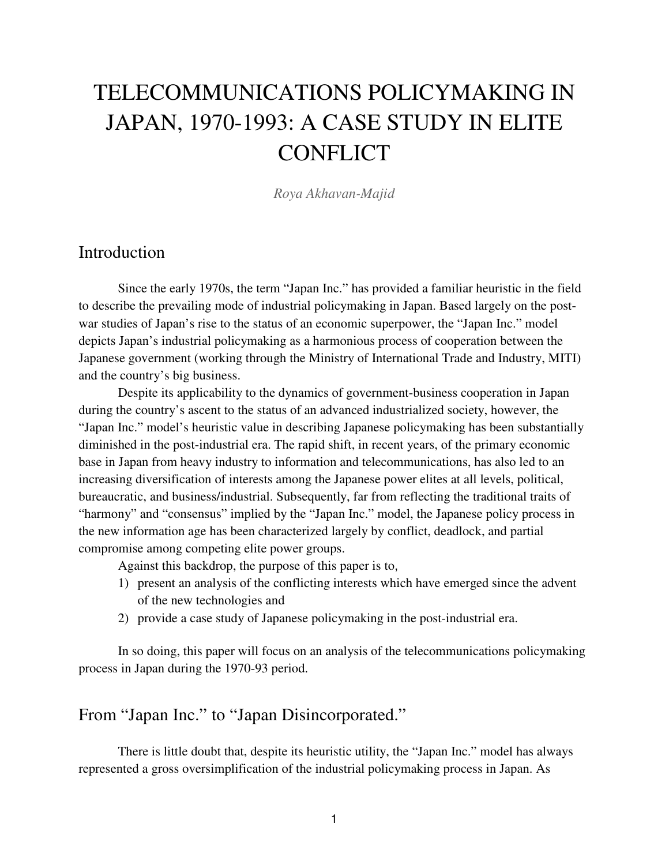# TELECOMMUNICATIONS POLICYMAKING IN JAPAN, 1970-1993: A CASE STUDY IN ELITE **CONFLICT**

*Roya Akhavan-Majid*

#### Introduction

Since the early 1970s, the term "Japan Inc." has provided a familiar heuristic in the field to describe the prevailing mode of industrial policymaking in Japan. Based largely on the postwar studies of Japan's rise to the status of an economic superpower, the "Japan Inc." model depicts Japan's industrial policymaking as a harmonious process of cooperation between the Japanese government (working through the Ministry of International Trade and Industry, MITI) and the country's big business.

 Despite its applicability to the dynamics of government-business cooperation in Japan during the country's ascent to the status of an advanced industrialized society, however, the "Japan Inc." model's heuristic value in describing Japanese policymaking has been substantially diminished in the post-industrial era. The rapid shift, in recent years, of the primary economic base in Japan from heavy industry to information and telecommunications, has also led to an increasing diversification of interests among the Japanese power elites at all levels, political, bureaucratic, and business/industrial. Subsequently, far from reflecting the traditional traits of "harmony" and "consensus" implied by the "Japan Inc." model, the Japanese policy process in the new information age has been characterized largely by conflict, deadlock, and partial compromise among competing elite power groups.

Against this backdrop, the purpose of this paper is to,

- 1) present an analysis of the conflicting interests which have emerged since the advent of the new technologies and
- 2) provide a case study of Japanese policymaking in the post-industrial era.

In so doing, this paper will focus on an analysis of the telecommunications policymaking process in Japan during the 1970-93 period.

### From "Japan Inc." to "Japan Disincorporated."

There is little doubt that, despite its heuristic utility, the "Japan Inc." model has always represented a gross oversimplification of the industrial policymaking process in Japan. As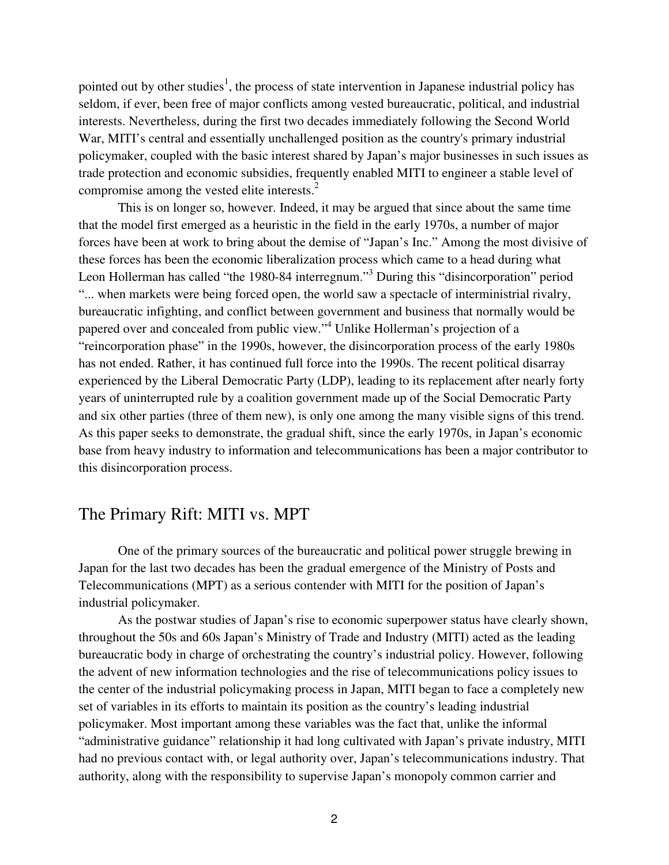pointed out by other studies<sup>1</sup>, the process of state intervention in Japanese industrial policy has seldom, if ever, been free of major conflicts among vested bureaucratic, political, and industrial interests. Nevertheless, during the first two decades immediately following the Second World War, MITI's central and essentially unchallenged position as the country's primary industrial policymaker, coupled with the basic interest shared by Japan's major businesses in such issues as trade protection and economic subsidies, frequently enabled MITI to engineer a stable level of compromise among the vested elite interests.<sup>2</sup>

 This is on longer so, however. Indeed, it may be argued that since about the same time that the model first emerged as a heuristic in the field in the early 1970s, a number of major forces have been at work to bring about the demise of "Japan's Inc." Among the most divisive of these forces has been the economic liberalization process which came to a head during what Leon Hollerman has called "the 1980-84 interregnum."<sup>3</sup> During this "disincorporation" period "... when markets were being forced open, the world saw a spectacle of interministrial rivalry, bureaucratic infighting, and conflict between government and business that normally would be papered over and concealed from public view."<sup>4</sup> Unlike Hollerman's projection of a "reincorporation phase" in the 1990s, however, the disincorporation process of the early 1980s has not ended. Rather, it has continued full force into the 1990s. The recent political disarray experienced by the Liberal Democratic Party (LDP), leading to its replacement after nearly forty years of uninterrupted rule by a coalition government made up of the Social Democratic Party and six other parties (three of them new), is only one among the many visible signs of this trend. As this paper seeks to demonstrate, the gradual shift, since the early 1970s, in Japan's economic base from heavy industry to information and telecommunications has been a major contributor to this disincorporation process.

#### The Primary Rift: MITI vs. MPT

One of the primary sources of the bureaucratic and political power struggle brewing in Japan for the last two decades has been the gradual emergence of the Ministry of Posts and Telecommunications (MPT) as a serious contender with MITI for the position of Japan's industrial policymaker.

 As the postwar studies of Japan's rise to economic superpower status have clearly shown, throughout the 50s and 60s Japan's Ministry of Trade and Industry (MITI) acted as the leading bureaucratic body in charge of orchestrating the country's industrial policy. However, following the advent of new information technologies and the rise of telecommunications policy issues to the center of the industrial policymaking process in Japan, MITI began to face a completely new set of variables in its efforts to maintain its position as the country's leading industrial policymaker. Most important among these variables was the fact that, unlike the informal "administrative guidance" relationship it had long cultivated with Japan's private industry, MITI had no previous contact with, or legal authority over, Japan's telecommunications industry. That authority, along with the responsibility to supervise Japan's monopoly common carrier and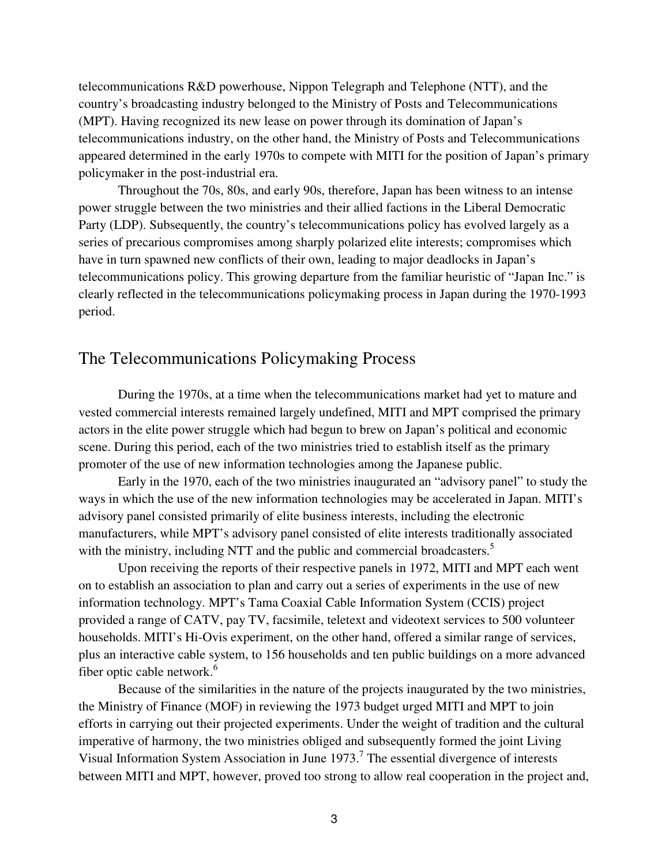telecommunications R&D powerhouse, Nippon Telegraph and Telephone (NTT), and the country's broadcasting industry belonged to the Ministry of Posts and Telecommunications (MPT). Having recognized its new lease on power through its domination of Japan's telecommunications industry, on the other hand, the Ministry of Posts and Telecommunications appeared determined in the early 1970s to compete with MITI for the position of Japan's primary policymaker in the post-industrial era.

 Throughout the 70s, 80s, and early 90s, therefore, Japan has been witness to an intense power struggle between the two ministries and their allied factions in the Liberal Democratic Party (LDP). Subsequently, the country's telecommunications policy has evolved largely as a series of precarious compromises among sharply polarized elite interests; compromises which have in turn spawned new conflicts of their own, leading to major deadlocks in Japan's telecommunications policy. This growing departure from the familiar heuristic of "Japan Inc." is clearly reflected in the telecommunications policymaking process in Japan during the 1970-1993 period.

#### The Telecommunications Policymaking Process

During the 1970s, at a time when the telecommunications market had yet to mature and vested commercial interests remained largely undefined, MITI and MPT comprised the primary actors in the elite power struggle which had begun to brew on Japan's political and economic scene. During this period, each of the two ministries tried to establish itself as the primary promoter of the use of new information technologies among the Japanese public.

 Early in the 1970, each of the two ministries inaugurated an "advisory panel" to study the ways in which the use of the new information technologies may be accelerated in Japan. MITI's advisory panel consisted primarily of elite business interests, including the electronic manufacturers, while MPT's advisory panel consisted of elite interests traditionally associated with the ministry, including NTT and the public and commercial broadcasters.<sup>5</sup>

 Upon receiving the reports of their respective panels in 1972, MITI and MPT each went on to establish an association to plan and carry out a series of experiments in the use of new information technology. MPT's Tama Coaxial Cable Information System (CCIS) project provided a range of CATV, pay TV, facsimile, teletext and videotext services to 500 volunteer households. MITI's Hi-Ovis experiment, on the other hand, offered a similar range of services, plus an interactive cable system, to 156 households and ten public buildings on a more advanced fiber optic cable network.<sup>6</sup>

 Because of the similarities in the nature of the projects inaugurated by the two ministries, the Ministry of Finance (MOF) in reviewing the 1973 budget urged MITI and MPT to join efforts in carrying out their projected experiments. Under the weight of tradition and the cultural imperative of harmony, the two ministries obliged and subsequently formed the joint Living Visual Information System Association in June  $1973$ .<sup>7</sup> The essential divergence of interests between MITI and MPT, however, proved too strong to allow real cooperation in the project and,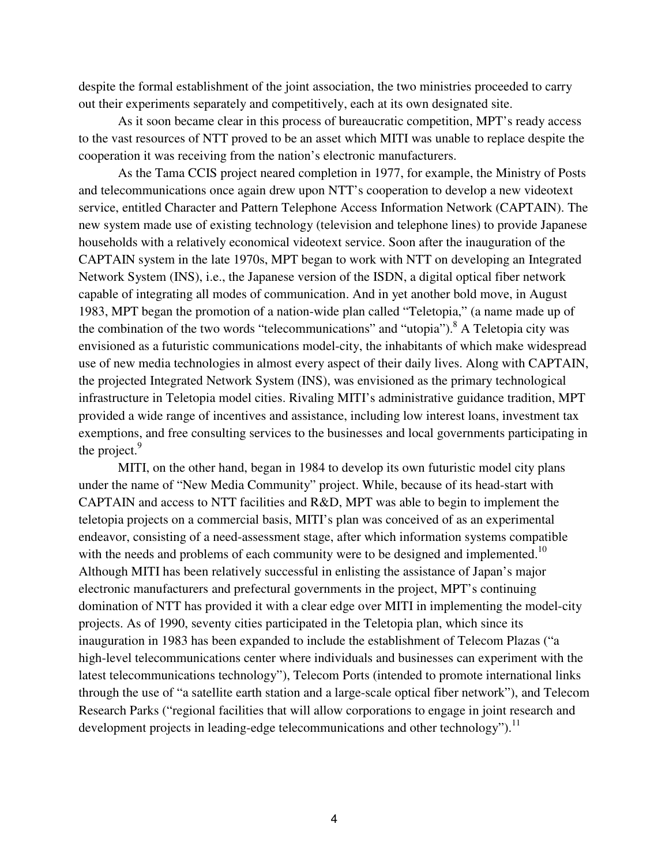despite the formal establishment of the joint association, the two ministries proceeded to carry out their experiments separately and competitively, each at its own designated site.

 As it soon became clear in this process of bureaucratic competition, MPT's ready access to the vast resources of NTT proved to be an asset which MITI was unable to replace despite the cooperation it was receiving from the nation's electronic manufacturers.

 As the Tama CCIS project neared completion in 1977, for example, the Ministry of Posts and telecommunications once again drew upon NTT's cooperation to develop a new videotext service, entitled Character and Pattern Telephone Access Information Network (CAPTAIN). The new system made use of existing technology (television and telephone lines) to provide Japanese households with a relatively economical videotext service. Soon after the inauguration of the CAPTAIN system in the late 1970s, MPT began to work with NTT on developing an Integrated Network System (INS), i.e., the Japanese version of the ISDN, a digital optical fiber network capable of integrating all modes of communication. And in yet another bold move, in August 1983, MPT began the promotion of a nation-wide plan called "Teletopia," (a name made up of the combination of the two words "telecommunications" and "utopia"). <sup>8</sup> A Teletopia city was envisioned as a futuristic communications model-city, the inhabitants of which make widespread use of new media technologies in almost every aspect of their daily lives. Along with CAPTAIN, the projected Integrated Network System (INS), was envisioned as the primary technological infrastructure in Teletopia model cities. Rivaling MITI's administrative guidance tradition, MPT provided a wide range of incentives and assistance, including low interest loans, investment tax exemptions, and free consulting services to the businesses and local governments participating in the project.<sup>9</sup>

 MITI, on the other hand, began in 1984 to develop its own futuristic model city plans under the name of "New Media Community" project. While, because of its head-start with CAPTAIN and access to NTT facilities and R&D, MPT was able to begin to implement the teletopia projects on a commercial basis, MITI's plan was conceived of as an experimental endeavor, consisting of a need-assessment stage, after which information systems compatible with the needs and problems of each community were to be designed and implemented.<sup>10</sup> Although MITI has been relatively successful in enlisting the assistance of Japan's major electronic manufacturers and prefectural governments in the project, MPT's continuing domination of NTT has provided it with a clear edge over MITI in implementing the model-city projects. As of 1990, seventy cities participated in the Teletopia plan, which since its inauguration in 1983 has been expanded to include the establishment of Telecom Plazas ("a high-level telecommunications center where individuals and businesses can experiment with the latest telecommunications technology"), Telecom Ports (intended to promote international links through the use of "a satellite earth station and a large-scale optical fiber network"), and Telecom Research Parks ("regional facilities that will allow corporations to engage in joint research and development projects in leading-edge telecommunications and other technology").<sup>11</sup>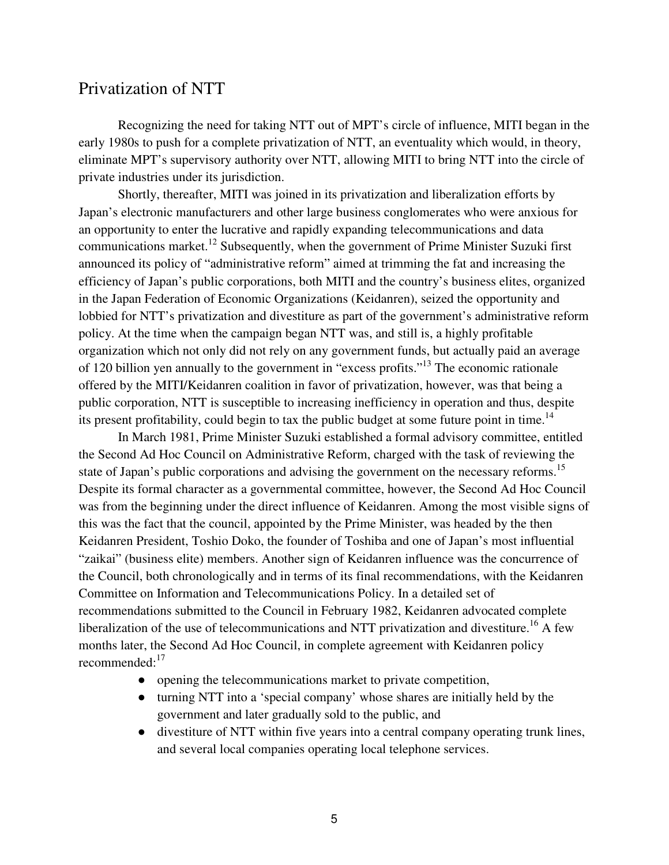### Privatization of NTT

Recognizing the need for taking NTT out of MPT's circle of influence, MITI began in the early 1980s to push for a complete privatization of NTT, an eventuality which would, in theory, eliminate MPT's supervisory authority over NTT, allowing MITI to bring NTT into the circle of private industries under its jurisdiction.

 Shortly, thereafter, MITI was joined in its privatization and liberalization efforts by Japan's electronic manufacturers and other large business conglomerates who were anxious for an opportunity to enter the lucrative and rapidly expanding telecommunications and data communications market.<sup>12</sup> Subsequently, when the government of Prime Minister Suzuki first announced its policy of "administrative reform" aimed at trimming the fat and increasing the efficiency of Japan's public corporations, both MITI and the country's business elites, organized in the Japan Federation of Economic Organizations (Keidanren), seized the opportunity and lobbied for NTT's privatization and divestiture as part of the government's administrative reform policy. At the time when the campaign began NTT was, and still is, a highly profitable organization which not only did not rely on any government funds, but actually paid an average of 120 billion yen annually to the government in "excess profits."<sup>13</sup> The economic rationale offered by the MITI/Keidanren coalition in favor of privatization, however, was that being a public corporation, NTT is susceptible to increasing inefficiency in operation and thus, despite its present profitability, could begin to tax the public budget at some future point in time.<sup>14</sup>

 In March 1981, Prime Minister Suzuki established a formal advisory committee, entitled the Second Ad Hoc Council on Administrative Reform, charged with the task of reviewing the state of Japan's public corporations and advising the government on the necessary reforms.<sup>15</sup> Despite its formal character as a governmental committee, however, the Second Ad Hoc Council was from the beginning under the direct influence of Keidanren. Among the most visible signs of this was the fact that the council, appointed by the Prime Minister, was headed by the then Keidanren President, Toshio Doko, the founder of Toshiba and one of Japan's most influential "zaikai" (business elite) members. Another sign of Keidanren influence was the concurrence of the Council, both chronologically and in terms of its final recommendations, with the Keidanren Committee on Information and Telecommunications Policy. In a detailed set of recommendations submitted to the Council in February 1982, Keidanren advocated complete liberalization of the use of telecommunications and NTT privatization and divestiture.<sup>16</sup> A few months later, the Second Ad Hoc Council, in complete agreement with Keidanren policy recommended:<sup>17</sup>

- opening the telecommunications market to private competition,
- turning NTT into a 'special company' whose shares are initially held by the government and later gradually sold to the public, and
- divestiture of NTT within five years into a central company operating trunk lines, and several local companies operating local telephone services.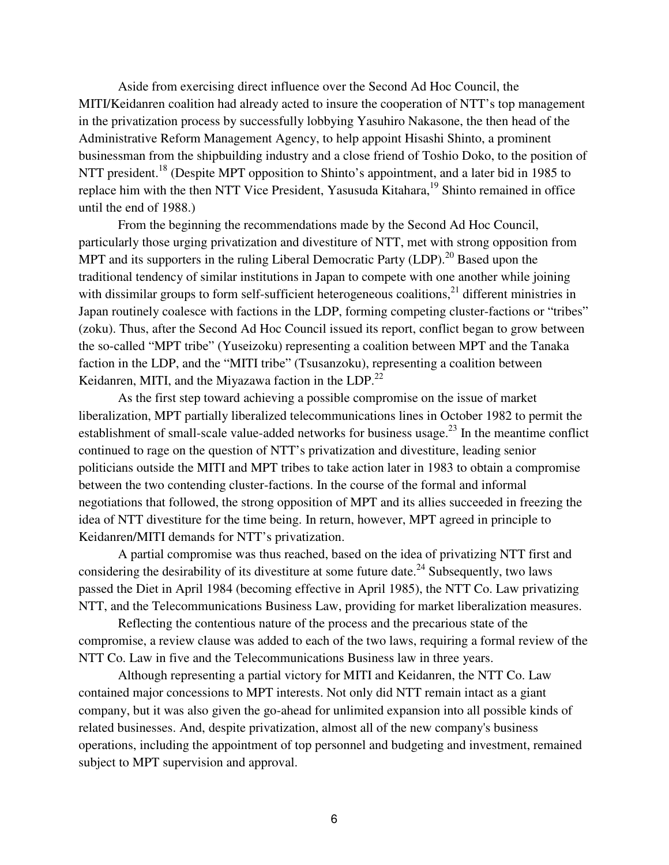Aside from exercising direct influence over the Second Ad Hoc Council, the MITI/Keidanren coalition had already acted to insure the cooperation of NTT's top management in the privatization process by successfully lobbying Yasuhiro Nakasone, the then head of the Administrative Reform Management Agency, to help appoint Hisashi Shinto, a prominent businessman from the shipbuilding industry and a close friend of Toshio Doko, to the position of NTT president.<sup>18</sup> (Despite MPT opposition to Shinto's appointment, and a later bid in 1985 to replace him with the then NTT Vice President, Yasusuda Kitahara,<sup>19</sup> Shinto remained in office until the end of 1988.)

From the beginning the recommendations made by the Second Ad Hoc Council, particularly those urging privatization and divestiture of NTT, met with strong opposition from MPT and its supporters in the ruling Liberal Democratic Party  $(LDP)$ <sup>20</sup> Based upon the traditional tendency of similar institutions in Japan to compete with one another while joining with dissimilar groups to form self-sufficient heterogeneous coalitions,<sup>21</sup> different ministries in Japan routinely coalesce with factions in the LDP, forming competing cluster-factions or "tribes" (zoku). Thus, after the Second Ad Hoc Council issued its report, conflict began to grow between the so-called "MPT tribe" (Yuseizoku) representing a coalition between MPT and the Tanaka faction in the LDP, and the "MITI tribe" (Tsusanzoku), representing a coalition between Keidanren, MITI, and the Miyazawa faction in the LDP.<sup>22</sup>

As the first step toward achieving a possible compromise on the issue of market liberalization, MPT partially liberalized telecommunications lines in October 1982 to permit the establishment of small-scale value-added networks for business usage.<sup>23</sup> In the meantime conflict continued to rage on the question of NTT's privatization and divestiture, leading senior politicians outside the MITI and MPT tribes to take action later in 1983 to obtain a compromise between the two contending cluster-factions. In the course of the formal and informal negotiations that followed, the strong opposition of MPT and its allies succeeded in freezing the idea of NTT divestiture for the time being. In return, however, MPT agreed in principle to Keidanren/MITI demands for NTT's privatization.

A partial compromise was thus reached, based on the idea of privatizing NTT first and considering the desirability of its divestiture at some future date.<sup>24</sup> Subsequently, two laws passed the Diet in April 1984 (becoming effective in April 1985), the NTT Co. Law privatizing NTT, and the Telecommunications Business Law, providing for market liberalization measures.

Reflecting the contentious nature of the process and the precarious state of the compromise, a review clause was added to each of the two laws, requiring a formal review of the NTT Co. Law in five and the Telecommunications Business law in three years.

Although representing a partial victory for MITI and Keidanren, the NTT Co. Law contained major concessions to MPT interests. Not only did NTT remain intact as a giant company, but it was also given the go-ahead for unlimited expansion into all possible kinds of related businesses. And, despite privatization, almost all of the new company's business operations, including the appointment of top personnel and budgeting and investment, remained subject to MPT supervision and approval.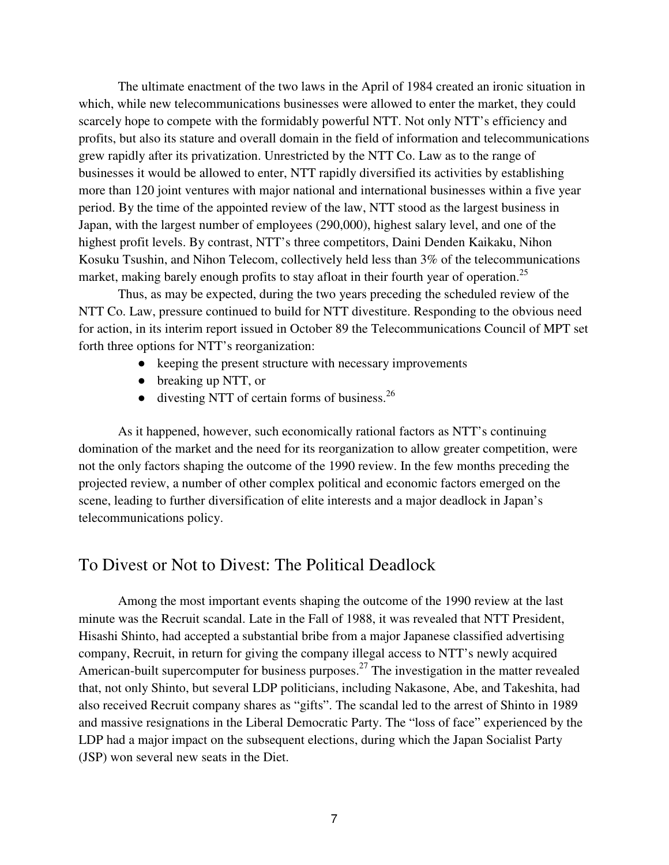The ultimate enactment of the two laws in the April of 1984 created an ironic situation in which, while new telecommunications businesses were allowed to enter the market, they could scarcely hope to compete with the formidably powerful NTT. Not only NTT's efficiency and profits, but also its stature and overall domain in the field of information and telecommunications grew rapidly after its privatization. Unrestricted by the NTT Co. Law as to the range of businesses it would be allowed to enter, NTT rapidly diversified its activities by establishing more than 120 joint ventures with major national and international businesses within a five year period. By the time of the appointed review of the law, NTT stood as the largest business in Japan, with the largest number of employees (290,000), highest salary level, and one of the highest profit levels. By contrast, NTT's three competitors, Daini Denden Kaikaku, Nihon Kosuku Tsushin, and Nihon Telecom, collectively held less than 3% of the telecommunications market, making barely enough profits to stay afloat in their fourth year of operation.<sup>25</sup>

Thus, as may be expected, during the two years preceding the scheduled review of the NTT Co. Law, pressure continued to build for NTT divestiture. Responding to the obvious need for action, in its interim report issued in October 89 the Telecommunications Council of MPT set forth three options for NTT's reorganization:

- keeping the present structure with necessary improvements
- breaking up NTT, or
- $\bullet$  divesting NTT of certain forms of business.<sup>26</sup>

 As it happened, however, such economically rational factors as NTT's continuing domination of the market and the need for its reorganization to allow greater competition, were not the only factors shaping the outcome of the 1990 review. In the few months preceding the projected review, a number of other complex political and economic factors emerged on the scene, leading to further diversification of elite interests and a major deadlock in Japan's telecommunications policy.

#### To Divest or Not to Divest: The Political Deadlock

Among the most important events shaping the outcome of the 1990 review at the last minute was the Recruit scandal. Late in the Fall of 1988, it was revealed that NTT President, Hisashi Shinto, had accepted a substantial bribe from a major Japanese classified advertising company, Recruit, in return for giving the company illegal access to NTT's newly acquired American-built supercomputer for business purposes.<sup>27</sup> The investigation in the matter revealed that, not only Shinto, but several LDP politicians, including Nakasone, Abe, and Takeshita, had also received Recruit company shares as "gifts". The scandal led to the arrest of Shinto in 1989 and massive resignations in the Liberal Democratic Party. The "loss of face" experienced by the LDP had a major impact on the subsequent elections, during which the Japan Socialist Party (JSP) won several new seats in the Diet.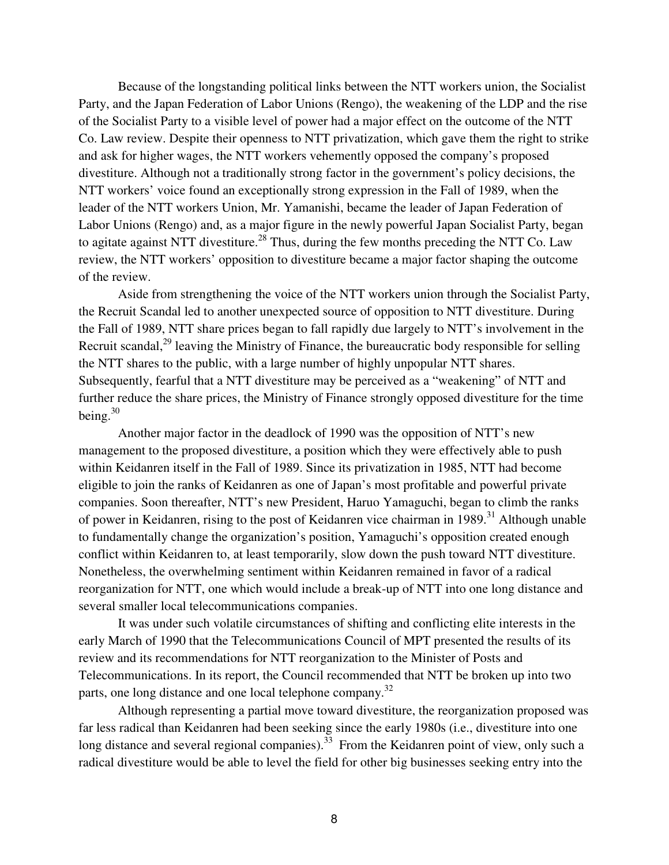Because of the longstanding political links between the NTT workers union, the Socialist Party, and the Japan Federation of Labor Unions (Rengo), the weakening of the LDP and the rise of the Socialist Party to a visible level of power had a major effect on the outcome of the NTT Co. Law review. Despite their openness to NTT privatization, which gave them the right to strike and ask for higher wages, the NTT workers vehemently opposed the company's proposed divestiture. Although not a traditionally strong factor in the government's policy decisions, the NTT workers' voice found an exceptionally strong expression in the Fall of 1989, when the leader of the NTT workers Union, Mr. Yamanishi, became the leader of Japan Federation of Labor Unions (Rengo) and, as a major figure in the newly powerful Japan Socialist Party, began to agitate against NTT divestiture.<sup>28</sup> Thus, during the few months preceding the NTT Co. Law review, the NTT workers' opposition to divestiture became a major factor shaping the outcome of the review.

 Aside from strengthening the voice of the NTT workers union through the Socialist Party, the Recruit Scandal led to another unexpected source of opposition to NTT divestiture. During the Fall of 1989, NTT share prices began to fall rapidly due largely to NTT's involvement in the Recruit scandal,  $^{29}$  leaving the Ministry of Finance, the bureaucratic body responsible for selling the NTT shares to the public, with a large number of highly unpopular NTT shares. Subsequently, fearful that a NTT divestiture may be perceived as a "weakening" of NTT and further reduce the share prices, the Ministry of Finance strongly opposed divestiture for the time being.<sup>30</sup>

 Another major factor in the deadlock of 1990 was the opposition of NTT's new management to the proposed divestiture, a position which they were effectively able to push within Keidanren itself in the Fall of 1989. Since its privatization in 1985, NTT had become eligible to join the ranks of Keidanren as one of Japan's most profitable and powerful private companies. Soon thereafter, NTT's new President, Haruo Yamaguchi, began to climb the ranks of power in Keidanren, rising to the post of Keidanren vice chairman in 1989.<sup>31</sup> Although unable to fundamentally change the organization's position, Yamaguchi's opposition created enough conflict within Keidanren to, at least temporarily, slow down the push toward NTT divestiture. Nonetheless, the overwhelming sentiment within Keidanren remained in favor of a radical reorganization for NTT, one which would include a break-up of NTT into one long distance and several smaller local telecommunications companies.

It was under such volatile circumstances of shifting and conflicting elite interests in the early March of 1990 that the Telecommunications Council of MPT presented the results of its review and its recommendations for NTT reorganization to the Minister of Posts and Telecommunications. In its report, the Council recommended that NTT be broken up into two parts, one long distance and one local telephone company.<sup>32</sup>

Although representing a partial move toward divestiture, the reorganization proposed was far less radical than Keidanren had been seeking since the early 1980s (i.e., divestiture into one long distance and several regional companies).<sup>33</sup> From the Keidanren point of view, only such a radical divestiture would be able to level the field for other big businesses seeking entry into the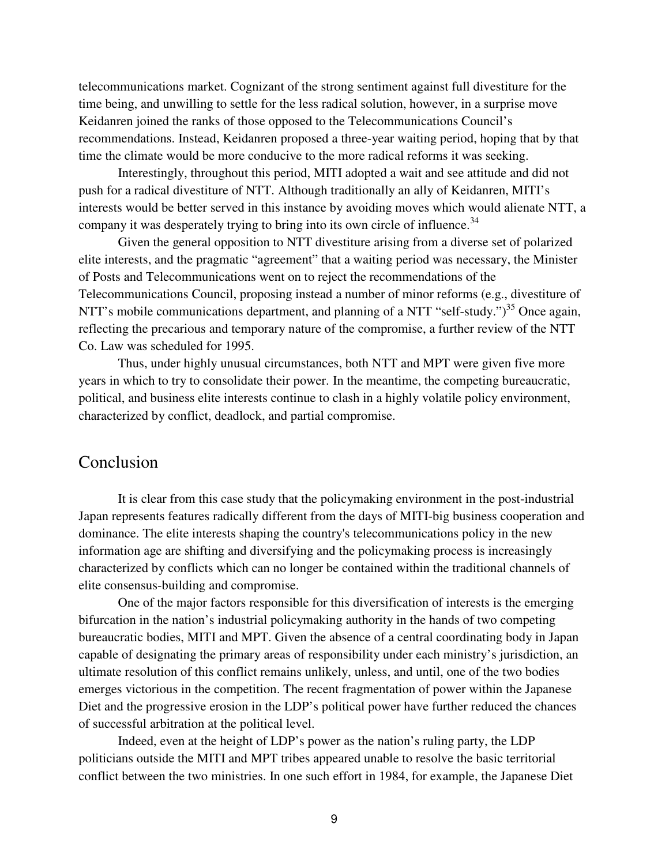telecommunications market. Cognizant of the strong sentiment against full divestiture for the time being, and unwilling to settle for the less radical solution, however, in a surprise move Keidanren joined the ranks of those opposed to the Telecommunications Council's recommendations. Instead, Keidanren proposed a three-year waiting period, hoping that by that time the climate would be more conducive to the more radical reforms it was seeking.

Interestingly, throughout this period, MITI adopted a wait and see attitude and did not push for a radical divestiture of NTT. Although traditionally an ally of Keidanren, MITI's interests would be better served in this instance by avoiding moves which would alienate NTT, a company it was desperately trying to bring into its own circle of influence.<sup>34</sup>

Given the general opposition to NTT divestiture arising from a diverse set of polarized elite interests, and the pragmatic "agreement" that a waiting period was necessary, the Minister of Posts and Telecommunications went on to reject the recommendations of the Telecommunications Council, proposing instead a number of minor reforms (e.g., divestiture of NTT's mobile communications department, and planning of a NTT "self-study.")<sup>35</sup> Once again, reflecting the precarious and temporary nature of the compromise, a further review of the NTT Co. Law was scheduled for 1995.

Thus, under highly unusual circumstances, both NTT and MPT were given five more years in which to try to consolidate their power. In the meantime, the competing bureaucratic, political, and business elite interests continue to clash in a highly volatile policy environment, characterized by conflict, deadlock, and partial compromise.

#### Conclusion

It is clear from this case study that the policymaking environment in the post-industrial Japan represents features radically different from the days of MITI-big business cooperation and dominance. The elite interests shaping the country's telecommunications policy in the new information age are shifting and diversifying and the policymaking process is increasingly characterized by conflicts which can no longer be contained within the traditional channels of elite consensus-building and compromise.

One of the major factors responsible for this diversification of interests is the emerging bifurcation in the nation's industrial policymaking authority in the hands of two competing bureaucratic bodies, MITI and MPT. Given the absence of a central coordinating body in Japan capable of designating the primary areas of responsibility under each ministry's jurisdiction, an ultimate resolution of this conflict remains unlikely, unless, and until, one of the two bodies emerges victorious in the competition. The recent fragmentation of power within the Japanese Diet and the progressive erosion in the LDP's political power have further reduced the chances of successful arbitration at the political level.

Indeed, even at the height of LDP's power as the nation's ruling party, the LDP politicians outside the MITI and MPT tribes appeared unable to resolve the basic territorial conflict between the two ministries. In one such effort in 1984, for example, the Japanese Diet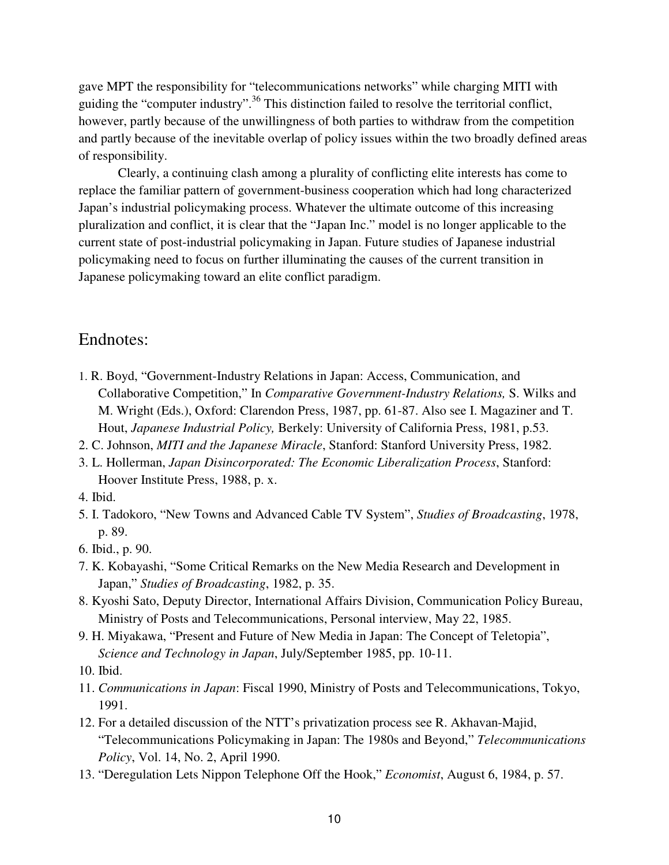gave MPT the responsibility for "telecommunications networks" while charging MITI with guiding the "computer industry".<sup>36</sup> This distinction failed to resolve the territorial conflict, however, partly because of the unwillingness of both parties to withdraw from the competition and partly because of the inevitable overlap of policy issues within the two broadly defined areas of responsibility.

Clearly, a continuing clash among a plurality of conflicting elite interests has come to replace the familiar pattern of government-business cooperation which had long characterized Japan's industrial policymaking process. Whatever the ultimate outcome of this increasing pluralization and conflict, it is clear that the "Japan Inc." model is no longer applicable to the current state of post-industrial policymaking in Japan. Future studies of Japanese industrial policymaking need to focus on further illuminating the causes of the current transition in Japanese policymaking toward an elite conflict paradigm.

#### Endnotes:

- 1. R. Boyd, "Government-Industry Relations in Japan: Access, Communication, and Collaborative Competition," In *Comparative Government-Industry Relations,* S. Wilks and M. Wright (Eds.), Oxford: Clarendon Press, 1987, pp. 61-87. Also see I. Magaziner and T. Hout, *Japanese Industrial Policy,* Berkely: University of California Press, 1981, p.53.
- 2. C. Johnson, *MITI and the Japanese Miracle*, Stanford: Stanford University Press, 1982.
- 3. L. Hollerman, *Japan Disincorporated: The Economic Liberalization Process*, Stanford: Hoover Institute Press, 1988, p. x.
- 4. Ibid.
- 5. I. Tadokoro, "New Towns and Advanced Cable TV System", *Studies of Broadcasting*, 1978, p. 89.
- 6. Ibid., p. 90.
- 7. K. Kobayashi, "Some Critical Remarks on the New Media Research and Development in Japan," *Studies of Broadcasting*, 1982, p. 35.
- 8. Kyoshi Sato, Deputy Director, International Affairs Division, Communication Policy Bureau, Ministry of Posts and Telecommunications, Personal interview, May 22, 1985.
- 9. H. Miyakawa, "Present and Future of New Media in Japan: The Concept of Teletopia", *Science and Technology in Japan*, July/September 1985, pp. 10-11.

10. Ibid.

- 11. *Communications in Japan*: Fiscal 1990, Ministry of Posts and Telecommunications, Tokyo, 1991.
- 12. For a detailed discussion of the NTT's privatization process see R. Akhavan-Majid, "Telecommunications Policymaking in Japan: The 1980s and Beyond," *Telecommunications Policy*, Vol. 14, No. 2, April 1990.
- 13. "Deregulation Lets Nippon Telephone Off the Hook," *Economist*, August 6, 1984, p. 57.